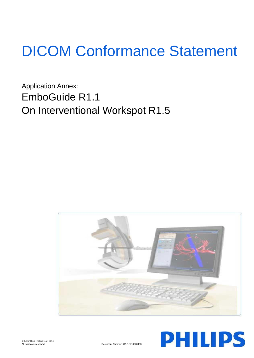# DICOM Conformance Statement

Application Annex: EmboGuide R1.1 On Interventional Workspot R1.5



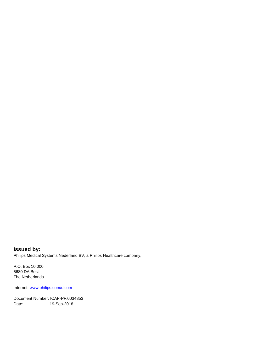**Issued by:** Philips Medical Systems Nederland BV, a Philips Healthcare company,

P.O. Box 10.000 5680 DA Best The Netherlands

Internet: www.philips.com/dicom

Document Number: ICAP-PF.0034853 Date: 19-Sep-2018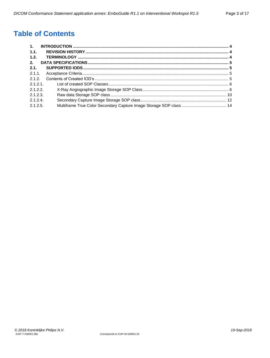# **Table of Contents**

| $\mathbf{1}$ . |  |
|----------------|--|
| 1.1.           |  |
| 1.2.           |  |
| 2.             |  |
| 2.1.           |  |
| 2.1.1          |  |
| 2.1.2.         |  |
| 2121           |  |
| 2.1.2.2.       |  |
| 2.1.2.3        |  |
| 2.1.2.4        |  |
| 2.1.2.5        |  |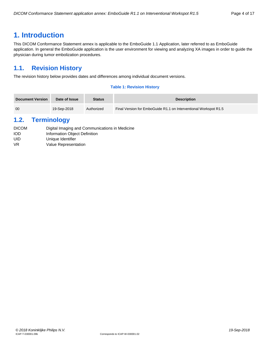## <span id="page-3-0"></span>**1. Introduction**

This DICOM Conformance Statement annex is applicable to the EmboGuide 1.1 Application, later referred to as EmboGuide application. In general the EmboGuide application is the user environment for viewing and analyzing XA images in order to guide the physician during tumor embolization procedures.

### <span id="page-3-1"></span>**1.1. Revision History**

The revision history below provides dates and differences among individual document versions.

#### **Table 1: Revision History**

| <b>Document Version</b> | Date of Issue | <b>Status</b> | <b>Description</b>                                               |
|-------------------------|---------------|---------------|------------------------------------------------------------------|
| 00                      | 19-Sep-2018   | Authorized    | Final Version for EmboGuide R1.1 on Interventional Workspot R1.5 |

### <span id="page-3-2"></span>**1.2. Terminology**

| <b>DICOM</b> | Digital Imaging and Communications in Medicine |
|--------------|------------------------------------------------|
| iod          | Information Object Definition                  |
| UID          | Unique Identifier                              |
| VR           | Value Representation                           |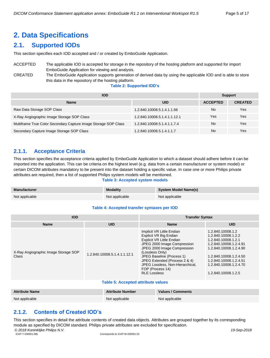# <span id="page-4-0"></span>**2. Data Specifications**

### <span id="page-4-1"></span>**2.1. Supported IODs**

This section specifies each IOD accepted and / or created by EmboGuide Application.

### ACCEPTED The applicable IOD is accepted for storage in the repository of the hosting platform and supported for import EmboGuide Application for viewing and analysis.

CREATED The EmboGuide Application supports generation of derived data by using the applicable IOD and is able to store this data in the repository of the hosting platform.

**Table 2: Supported IOD's**

| <b>IOD</b>                                                      | <b>Support</b>               |                 |                |
|-----------------------------------------------------------------|------------------------------|-----------------|----------------|
| <b>Name</b>                                                     | <b>UID</b>                   | <b>ACCEPTED</b> | <b>CREATED</b> |
| Raw Data Storage SOP Class                                      | 1.2.840.10008.5.1.4.1.1.66   | No              | Yes            |
| X-Ray Angiographic Image Storage SOP Class                      | 1.2.840.10008.5.1.4.1.1.12.1 | Yes             | Yes            |
| Multiframe True Color Secondary Capture Image Storage SOP Class | 1.2.840.10008.5.1.4.1.1.7.4  | No              | Yes            |
| Secondary Capture Image Storage SOP Class                       | 1.2.840.10008.5.1.4.1.1.7    | No              | Yes            |

### <span id="page-4-2"></span>**2.1.1. Acceptance Criteria**

This section specifies the acceptance criteria applied by EmboGuide Application to which a dataset should adhere before it can be imported into the application. This can be criteria on the highest level (e.g. data from a certain manufacturer or system model) or certain DICOM attributes mandatory to be present into the dataset holding a specific value. In case one or more Philips private attributes are required, then a list of supported Philips system models will be mentioned.

#### **Table 3: Accepted system models**

| <b>Manufacturer</b> | <b>Modality</b> | <b>System Model Name(s)</b> |
|---------------------|-----------------|-----------------------------|
| Not applicable      | Not applicable  | Not applicable              |

#### **Table 4: Accepted transfer syntaxes per IOD**

| <b>IOD</b>                                    |                              | <b>Transfer Syntax</b>                                                                                                                                                                                                                                                                                         |                                                                                                                                                                                                                          |  |  |  |  |
|-----------------------------------------------|------------------------------|----------------------------------------------------------------------------------------------------------------------------------------------------------------------------------------------------------------------------------------------------------------------------------------------------------------|--------------------------------------------------------------------------------------------------------------------------------------------------------------------------------------------------------------------------|--|--|--|--|
| <b>Name</b>                                   | <b>UID</b>                   | <b>Name</b>                                                                                                                                                                                                                                                                                                    | <b>UID</b>                                                                                                                                                                                                               |  |  |  |  |
| X-Ray Angiographic Image Storage SOP<br>Class | 1.2.840.10008.5.1.4.1.1.12.1 | Implicit VR Little Endian<br>Explicit VR Big Endian<br>Explicit VR Little Endian<br>JPEG 2000 Image Compression<br>JPEG 2000 Image Compression<br>(Lossless Only)<br>JPEG Baseline (Process 1)<br>JPEG Extended (Process 2 & 4)<br>JPEG Lossless, Non-Hierarchical,<br>FOP (Process 14)<br><b>RLE Lossless</b> | 1.2.840.10008.1.2<br>1.2.840.10008.1.2.2<br>1.2.840.10008.1.2.1<br>1.2.840.10008.1.2.4.91<br>1.2.840.10008.1.2.4.90<br>1.2.840.10008.1.2.4.50<br>1.2.840.10008.1.2.4.51<br>1.2.840.10008.1.2.4.70<br>1.2.840.10008.1.2.5 |  |  |  |  |
| <b>Table 5: Accepted attribute values</b>     |                              |                                                                                                                                                                                                                                                                                                                |                                                                                                                                                                                                                          |  |  |  |  |

| <b>Attribute Name</b> | <b>Attribute Number</b> | Values / Comments |
|-----------------------|-------------------------|-------------------|
| Not applicable        | Not applicable          | Not applicable    |

### <span id="page-4-3"></span>**2.1.2. Contents of Created IOD's**

*© 2018 Koninklijke Philips N.V. 19-Sep-2018* This section specifies in detail the attribute contents of created data objects. Attributes are grouped together by its corresponding module as specified by DICOM standard. Philips private attributes are excluded for specification.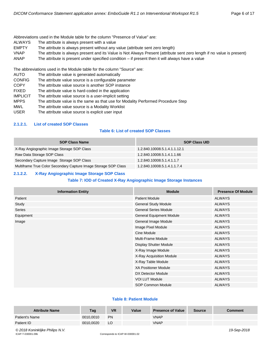Abbreviations used in the Module table for the column "Presence of Value" are:

- ALWAYS The attribute is always present with a value
- EMPTY The attribute is always present without any value (attribute sent zero length)
- VNAP The attribute is always present and its Value is Not Always Present (attribute sent zero length if no value is present)
- ANAP The attribute is present under specified condition if present then it will always have a value

The abbreviations used in the Module table for the column "Source" are:

- AUTO The attribute value is generated automatically
- CONFIG The attribute value source is a configurable parameter
- COPY The attribute value source is another SOP instance
- FIXED The attribute value is hard-coded in the application
- IMPLICIT The attribute value source is a user-implicit setting
- MPPS The attribute value is the same as that use for Modality Performed Procedure Step
- MWL The attribute value source is a Modality Worklist
- USER The attribute value source is explicit user input

#### <span id="page-5-0"></span>**2.1.2.1. List of created SOP Classes**

#### **Table 6: List of created SOP Classes**

| <b>SOP Class Name</b>                                           | <b>SOP Class UID</b>         |
|-----------------------------------------------------------------|------------------------------|
| X-Ray Angiographic Image Storage SOP Class                      | 1.2.840.10008.5.1.4.1.1.12.1 |
| Raw Data Storage SOP Class                                      | 1.2.840.10008.5.1.4.1.1.66   |
| Secondary Capture Image Storage SOP Class                       | 1.2.840.10008.5.1.4.1.1.7    |
| Multiframe True Color Secondary Capture Image Storage SOP Class | 1.2.840.10008.5.1.4.1.1.7.4  |

#### <span id="page-5-1"></span>**2.1.2.2. X-Ray Angiographic Image Storage SOP Class**

#### **Table 7: IOD of Created X-Ray Angiographic Image Storage Instances**

| <b>Information Entity</b> | <b>Module</b>                   | <b>Presence Of Module</b> |
|---------------------------|---------------------------------|---------------------------|
| Patient                   | <b>Patient Module</b>           | <b>ALWAYS</b>             |
| Study                     | <b>General Study Module</b>     | <b>ALWAYS</b>             |
| Series                    | <b>General Series Module</b>    | <b>ALWAYS</b>             |
| Equipment                 | <b>General Equipment Module</b> | <b>ALWAYS</b>             |
| Image                     | General Image Module            | <b>ALWAYS</b>             |
|                           | Image Pixel Module              | <b>ALWAYS</b>             |
|                           | Cine Module                     | <b>ALWAYS</b>             |
|                           | <b>Multi-Frame Module</b>       | <b>ALWAYS</b>             |
|                           | Display Shutter Module          | <b>ALWAYS</b>             |
|                           | X-Ray Image Module              | <b>ALWAYS</b>             |
|                           | X-Ray Acquisition Module        | <b>ALWAYS</b>             |
|                           | X-Ray Table Module              | <b>ALWAYS</b>             |
|                           | <b>XA Positioner Module</b>     | <b>ALWAYS</b>             |
|                           | DX Detector Module              | <b>ALWAYS</b>             |
|                           | <b>VOI LUT Module</b>           | <b>ALWAYS</b>             |
|                           | SOP Common Module               | <b>ALWAYS</b>             |

#### **Table 8: Patient Module**

| <b>Attribute Name</b> | Tag       | <b>VR</b> | Value | <b>Presence of Value</b> | <b>Source</b> | Comment |
|-----------------------|-----------|-----------|-------|--------------------------|---------------|---------|
| Patient's Name        | 0010.0010 | <b>PN</b> |       | VNAP                     |               |         |
| Patient ID            | 0010,0020 | LO        |       | <b>VNAP</b>              |               |         |

*© 2018 Koninklijke Philips N.V. 19-Sep-2018*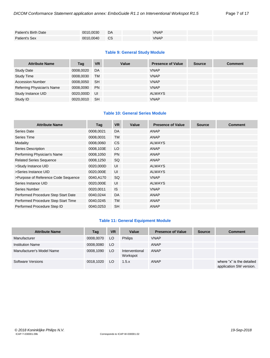| Patient's Birth Date | 0010,0030 | DA        | <b>VNAP</b> |  |
|----------------------|-----------|-----------|-------------|--|
| Patient's Sex        | 0010,0040 | <b>CS</b> | <b>VNAP</b> |  |

#### **Table 9: General Study Module**

| <b>Attribute Name</b>      | Tag       | <b>VR</b> | Value | <b>Presence of Value</b> | <b>Source</b> | <b>Comment</b> |
|----------------------------|-----------|-----------|-------|--------------------------|---------------|----------------|
| <b>Study Date</b>          | 0008,0020 | DA        |       | <b>VNAP</b>              |               |                |
| <b>Study Time</b>          | 0008,0030 | <b>TM</b> |       | <b>VNAP</b>              |               |                |
| <b>Accession Number</b>    | 0008,0050 | <b>SH</b> |       | <b>VNAP</b>              |               |                |
| Referring Physician's Name | 0008.0090 | <b>PN</b> |       | <b>VNAP</b>              |               |                |
| Study Instance UID         | 0020.000D | - UI      |       | <b>ALWAYS</b>            |               |                |
| Study ID                   | 0020.0010 | <b>SH</b> |       | <b>VNAP</b>              |               |                |

#### **Table 10: General Series Module**

| <b>Attribute Name</b>               | Tag       | <b>VR</b> | Value | <b>Presence of Value</b> | <b>Source</b> | <b>Comment</b> |
|-------------------------------------|-----------|-----------|-------|--------------------------|---------------|----------------|
| Series Date                         | 0008,0021 | DA        |       | ANAP                     |               |                |
| Series Time                         | 0008,0031 | <b>TM</b> |       | ANAP                     |               |                |
| Modality                            | 0008,0060 | <b>CS</b> |       | <b>ALWAYS</b>            |               |                |
| <b>Series Description</b>           | 0008,103E | LO        |       | ANAP                     |               |                |
| Performing Physician's Name         | 0008,1050 | <b>PN</b> |       | ANAP                     |               |                |
| <b>Related Series Sequence</b>      | 0008,1250 | SQ        |       | ANAP                     |               |                |
| >Study Instance UID                 | 0020,000D | UI        |       | <b>ALWAYS</b>            |               |                |
| >Series Instance UID                | 0020,000E | UI        |       | <b>ALWAYS</b>            |               |                |
| >Purpose of Reference Code Sequence | 0040,A170 | SQ.       |       | <b>VNAP</b>              |               |                |
| Series Instance UID                 | 0020,000E | UI        |       | <b>ALWAYS</b>            |               |                |
| Series Number                       | 0020,0011 | <b>IS</b> |       | <b>VNAP</b>              |               |                |
| Performed Procedure Step Start Date | 0040,0244 | DA        |       | <b>ANAP</b>              |               |                |
| Performed Procedure Step Start Time | 0040,0245 | <b>TM</b> |       | ANAP                     |               |                |
| Performed Procedure Step ID         | 0040,0253 | <b>SH</b> |       | ANAP                     |               |                |

#### **Table 11: General Equipment Module**

| <b>Attribute Name</b>     | Tag       | <b>VR</b> | Value                      | <b>Presence of Value</b> | <b>Source</b> | <b>Comment</b>                                       |
|---------------------------|-----------|-----------|----------------------------|--------------------------|---------------|------------------------------------------------------|
| Manufacturer              | 0008,0070 | LO        | <b>Philips</b>             | <b>VNAP</b>              |               |                                                      |
| <b>Institution Name</b>   | 0008,0080 | LO.       |                            | ANAP                     |               |                                                      |
| Manufacturer's Model Name | 0008,1090 | LO.       | Interventional<br>Workspot | <b>ANAP</b>              |               |                                                      |
| Software Versions         | 0018.1020 | LO.       | 1.5.x                      | ANAP                     |               | where "x" is the detailed<br>application SW version. |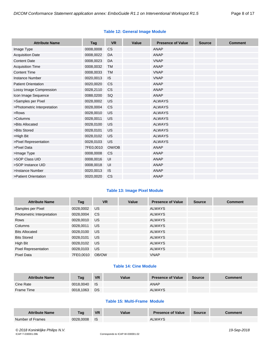|  | <b>Table 12: General Image Module</b> |  |
|--|---------------------------------------|--|
|  |                                       |  |

| <b>Attribute Name</b>       | Tag       | <b>VR</b> | Value | <b>Presence of Value</b> | <b>Source</b> | <b>Comment</b> |
|-----------------------------|-----------|-----------|-------|--------------------------|---------------|----------------|
| Image Type                  | 0008,0008 | <b>CS</b> |       | <b>ANAP</b>              |               |                |
| <b>Acquisition Date</b>     | 0008,0022 | DA        |       | <b>ANAP</b>              |               |                |
| <b>Content Date</b>         | 0008,0023 | DA        |       | <b>VNAP</b>              |               |                |
| <b>Acquisition Time</b>     | 0008,0032 | <b>TM</b> |       | <b>ANAP</b>              |               |                |
| <b>Content Time</b>         | 0008,0033 | <b>TM</b> |       | <b>VNAP</b>              |               |                |
| <b>Instance Number</b>      | 0020,0013 | IS.       |       | <b>VNAP</b>              |               |                |
| <b>Patient Orientation</b>  | 0020,0020 | <b>CS</b> |       | <b>ANAP</b>              |               |                |
| Lossy Image Compression     | 0028,2110 | <b>CS</b> |       | <b>ANAP</b>              |               |                |
| Icon Image Sequence         | 0088,0200 | SQ        |       | <b>ANAP</b>              |               |                |
| >Samples per Pixel          | 0028,0002 | US        |       | <b>ALWAYS</b>            |               |                |
| >Photometric Interpretation | 0028,0004 | <b>CS</b> |       | <b>ALWAYS</b>            |               |                |
| >Rows                       | 0028,0010 | US        |       | <b>ALWAYS</b>            |               |                |
| >Columns                    | 0028,0011 | US        |       | <b>ALWAYS</b>            |               |                |
| >Bits Allocated             | 0028,0100 | US        |       | <b>ALWAYS</b>            |               |                |
| >Bits Stored                | 0028,0101 | US        |       | <b>ALWAYS</b>            |               |                |
| >High Bit                   | 0028,0102 | US        |       | <b>ALWAYS</b>            |               |                |
| >Pixel Representation       | 0028,0103 | <b>US</b> |       | <b>ALWAYS</b>            |               |                |
| >Pixel Data                 | 7FE0,0010 | OW/OB     |       | <b>ANAP</b>              |               |                |
| >Image Type                 | 0008,0008 | <b>CS</b> |       | <b>ANAP</b>              |               |                |
| >SOP Class UID              | 0008,0016 | UI        |       | <b>ANAP</b>              |               |                |
| >SOP Instance UID           | 0008,0018 | UI        |       | <b>ANAP</b>              |               |                |
| >Instance Number            | 0020,0013 | IS.       |       | <b>ANAP</b>              |               |                |
| >Patient Orientation        | 0020,0020 | CS        |       | <b>ANAP</b>              |               |                |

#### **Table 13: Image Pixel Module**

| <b>Attribute Name</b>       | Tag       | <b>VR</b> | Value | <b>Presence of Value</b> | <b>Source</b> | <b>Comment</b> |
|-----------------------------|-----------|-----------|-------|--------------------------|---------------|----------------|
| Samples per Pixel           | 0028,0002 | <b>US</b> |       | <b>ALWAYS</b>            |               |                |
| Photometric Interpretation  | 0028,0004 | CS.       |       | <b>ALWAYS</b>            |               |                |
| Rows                        | 0028,0010 | US.       |       | <b>ALWAYS</b>            |               |                |
| Columns                     | 0028,0011 | <b>US</b> |       | <b>ALWAYS</b>            |               |                |
| <b>Bits Allocated</b>       | 0028,0100 | US.       |       | <b>ALWAYS</b>            |               |                |
| <b>Bits Stored</b>          | 0028,0101 | <b>US</b> |       | <b>ALWAYS</b>            |               |                |
| High Bit                    | 0028,0102 | US.       |       | <b>ALWAYS</b>            |               |                |
| <b>Pixel Representation</b> | 0028,0103 | US.       |       | <b>ALWAYS</b>            |               |                |
| Pixel Data                  | 7FE0.0010 | OB/OW     |       | <b>VNAP</b>              |               |                |

#### **Table 14: Cine Module**

| <b>Attribute Name</b> | Tag       | <b>VR</b>   | Value | <b>Presence of Value</b> | Source | Comment |
|-----------------------|-----------|-------------|-------|--------------------------|--------|---------|
| Cine Rate             | 0018.0040 | <b>I</b> IS |       | <b>ANAP</b>              |        |         |
| Frame Time            | 0018.1063 | <b>DS</b>   |       | <b>ALWAYS</b>            |        |         |

#### **Table 15: Multi-Frame Module**

| <b>Attribute Name</b> | Taq       | <b>VR</b> | Value | <b>Presence of Value</b> | <b>Source</b> | Comment |
|-----------------------|-----------|-----------|-------|--------------------------|---------------|---------|
| Number of Frames      | 0028.0008 | <b>IS</b> |       | <b>ALWAYS</b>            |               |         |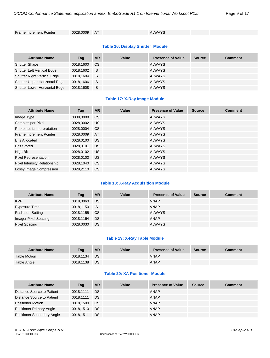Frame Increment Pointer 0028,0009 AT ALWAYS

#### **Table 16: Display Shutter Module**

| <b>Attribute Name</b>              | Tag       | <b>VR</b> | Value | <b>Presence of Value</b> | <b>Source</b> | <b>Comment</b> |
|------------------------------------|-----------|-----------|-------|--------------------------|---------------|----------------|
| <b>Shutter Shape</b>               | 0018,1600 | CS.       |       | <b>ALWAYS</b>            |               |                |
| <b>Shutter Left Vertical Edge</b>  | 0018,1602 | <b>IS</b> |       | <b>ALWAYS</b>            |               |                |
| <b>Shutter Right Vertical Edge</b> | 0018,1604 | ⊟ IS      |       | <b>ALWAYS</b>            |               |                |
| Shutter Upper Horizontal Edge      | 0018,1606 | <b>IS</b> |       | <b>ALWAYS</b>            |               |                |
| Shutter Lower Horizontal Edge      | 0018,1608 | - IS      |       | <b>ALWAYS</b>            |               |                |

#### **Table 17: X-Ray Image Module**

| <b>Attribute Name</b>        | Tag       | <b>VR</b>     | Value | <b>Presence of Value</b> | <b>Source</b> | <b>Comment</b> |
|------------------------------|-----------|---------------|-------|--------------------------|---------------|----------------|
| Image Type                   | 0008,0008 | <b>CS</b>     |       | <b>ALWAYS</b>            |               |                |
| Samples per Pixel            | 0028,0002 | <b>US</b>     |       | <b>ALWAYS</b>            |               |                |
| Photometric Interpretation   | 0028.0004 | <sub>CS</sub> |       | <b>ALWAYS</b>            |               |                |
| Frame Increment Pointer      | 0028,0009 | AT            |       | <b>ALWAYS</b>            |               |                |
| <b>Bits Allocated</b>        | 0028.0100 | <b>US</b>     |       | <b>ALWAYS</b>            |               |                |
| <b>Bits Stored</b>           | 0028,0101 | <b>US</b>     |       | <b>ALWAYS</b>            |               |                |
| High Bit                     | 0028,0102 | <b>US</b>     |       | <b>ALWAYS</b>            |               |                |
| <b>Pixel Representation</b>  | 0028,0103 | <b>US</b>     |       | <b>ALWAYS</b>            |               |                |
| Pixel Intensity Relationship | 0028,1040 | <b>CS</b>     |       | <b>ALWAYS</b>            |               |                |
| Lossy Image Compression      | 0028.2110 | <b>CS</b>     |       | <b>ALWAYS</b>            |               |                |

#### **Table 18: X-Ray Acquisition Module**

| <b>Attribute Name</b>    | Tag          | <b>VR</b> | Value | <b>Presence of Value</b> | <b>Source</b> | <b>Comment</b> |
|--------------------------|--------------|-----------|-------|--------------------------|---------------|----------------|
| <b>KVP</b>               | 0018,0060    | DS        |       | <b>VNAP</b>              |               |                |
| Exposure Time            | 0018,1150 IS |           |       | <b>VNAP</b>              |               |                |
| <b>Radiation Setting</b> | 0018,1155    | CS.       |       | <b>ALWAYS</b>            |               |                |
| Imager Pixel Spacing     | 0018,1164    | <b>DS</b> |       | <b>ANAP</b>              |               |                |
| <b>Pixel Spacing</b>     | 0028,0030    | DS        |       | <b>ALWAYS</b>            |               |                |

#### **Table 19: X-Ray Table Module**

| <b>Attribute Name</b> | Taq       | <b>VR</b> | Value | <b>Presence of Value</b> | <b>Source</b> | Comment |
|-----------------------|-----------|-----------|-------|--------------------------|---------------|---------|
| <b>Table Motion</b>   | 0018.1134 | DS        |       | <b>VNAP</b>              |               |         |
| Table Angle           | 0018,1138 | DS        |       | ANAP                     |               |         |

#### **Table 20: XA Positioner Module**

| <b>Attribute Name</b>             | Tag       | <b>VR</b> | Value | <b>Presence of Value</b> | <b>Source</b> | <b>Comment</b> |
|-----------------------------------|-----------|-----------|-------|--------------------------|---------------|----------------|
| Distance Source to Patient        | 0018.1111 | DS        |       | ANAP                     |               |                |
| Distance Source to Patient        | 0018.1111 | DS        |       | ANAP                     |               |                |
| <b>Positioner Motion</b>          | 0018.1500 | - CS      |       | <b>VNAP</b>              |               |                |
| <b>Positioner Primary Angle</b>   | 0018.1510 | DS        |       | <b>VNAP</b>              |               |                |
| <b>Positioner Secondary Angle</b> | 0018.1511 | DS        |       | <b>VNAP</b>              |               |                |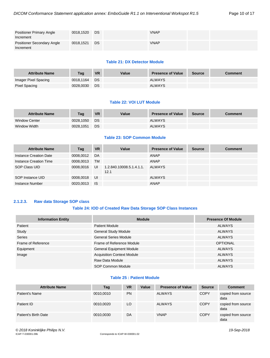| <b>Positioner Primary Angle</b><br>Increment   | 0018,1520 | DS | <b>VNAP</b> |  |
|------------------------------------------------|-----------|----|-------------|--|
| <b>Positioner Secondary Angle</b><br>Increment | 0018,1521 | DS | <b>VNAP</b> |  |

#### **Table 21: DX Detector Module**

| <b>Attribute Name</b> | Tag       | <b>VR</b> | Value | <b>Presence of Value</b> | Source | Comment |
|-----------------------|-----------|-----------|-------|--------------------------|--------|---------|
| Imager Pixel Spacing  | 0018.1164 | <b>DS</b> |       | <b>ALWAYS</b>            |        |         |
| Pixel Spacing         | 0028.0030 | DS        |       | <b>ALWAYS</b>            |        |         |

#### **Table 22: VOI LUT Module**

| <b>Attribute Name</b> | Taq       | <b>VR</b> | Value | <b>Presence of Value</b> | <b>Source</b> | <b>Comment</b> |
|-----------------------|-----------|-----------|-------|--------------------------|---------------|----------------|
| <b>Window Center</b>  | 0028.1050 | DS.       |       | <b>ALWAYS</b>            |               |                |
| Window Width          | 0028.1051 | <b>DS</b> |       | <b>ALWAYS</b>            |               |                |

#### **Table 23: SOP Common Module**

| <b>Attribute Name</b>  | Tag       | <b>VR</b> | Value                           | <b>Presence of Value</b> | <b>Source</b> | <b>Comment</b> |
|------------------------|-----------|-----------|---------------------------------|--------------------------|---------------|----------------|
| Instance Creation Date | 0008.0012 | <b>DA</b> |                                 | <b>ANAP</b>              |               |                |
| Instance Creation Time | 0008.0013 | <b>TM</b> |                                 | <b>ANAP</b>              |               |                |
| SOP Class UID          | 0008,0016 | UI        | 1.2.840.10008.5.1.4.1.1<br>12.1 | <b>ALWAYS</b>            |               |                |
| SOP Instance UID       | 0008,0018 | UI        |                                 | <b>ALWAYS</b>            |               |                |
| Instance Number        | 0020,0013 | <b>IS</b> |                                 | <b>ANAP</b>              |               |                |

### <span id="page-9-0"></span>**2.1.2.3. Raw data Storage SOP class**

#### **Table 24: IOD of Created Raw Data Storage SOP Class Instances**

| <b>Information Entity</b> | <b>Module</b>                     | <b>Presence Of Module</b> |
|---------------------------|-----------------------------------|---------------------------|
| Patient                   | <b>Patient Module</b>             | <b>ALWAYS</b>             |
| Study                     | <b>General Study Module</b>       | <b>ALWAYS</b>             |
| <b>Series</b>             | <b>General Series Module</b>      | ALWAYS                    |
| Frame of Reference        | Frame of Reference Module         | <b>OPTIONAL</b>           |
| Equipment                 | <b>General Equipment Module</b>   | <b>ALWAYS</b>             |
| Image                     | <b>Acquisition Context Module</b> | <b>ALWAYS</b>             |
|                           | Raw Data Module                   | <b>ALWAYS</b>             |
|                           | SOP Common Module                 | <b>ALWAYS</b>             |

#### **Table 25 : Patient Module**

| <b>Attribute Name</b> | Tag       | <b>VR</b> | Value | <b>Presence of Value</b> | <b>Source</b> | <b>Comment</b>             |
|-----------------------|-----------|-----------|-------|--------------------------|---------------|----------------------------|
| Patient's Name        | 0010,0010 | <b>PN</b> |       | <b>ALWAYS</b>            | <b>COPY</b>   | copied from source<br>data |
| Patient ID            | 0010.0020 | LO        |       | <b>ALWAYS</b>            | <b>COPY</b>   | copied from source<br>data |
| Patient's Birth Date  | 0010,0030 | DA        |       | <b>VNAP</b>              | <b>COPY</b>   | copied from source<br>data |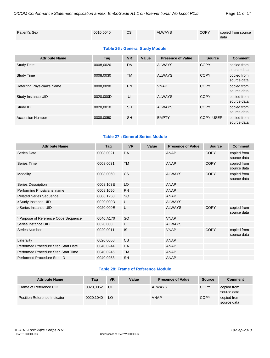| Patient's Sex | 0010.0040 | СS | <b>ALWAYS</b> | <b>COPY</b> | copied from source |
|---------------|-----------|----|---------------|-------------|--------------------|
|               |           |    |               |             | data               |

#### **Table 26 : General Study Module**

| <b>Attribute Name</b>      | Tag       | <b>VR</b> | Value | <b>Presence of Value</b> | <b>Source</b> | <b>Comment</b>             |
|----------------------------|-----------|-----------|-------|--------------------------|---------------|----------------------------|
| <b>Study Date</b>          | 0008.0020 | DA        |       | <b>ALWAYS</b>            | <b>COPY</b>   | copied from<br>source data |
| <b>Study Time</b>          | 0008.0030 | <b>TM</b> |       | <b>ALWAYS</b>            | <b>COPY</b>   | copied from<br>source data |
| Referring Physician's Name | 0008.0090 | <b>PN</b> |       | <b>VNAP</b>              | <b>COPY</b>   | copied from<br>source data |
| Study Instance UID         | 0020.000D | UI        |       | <b>ALWAYS</b>            | <b>COPY</b>   | copied from<br>source data |
| Study ID                   | 0020.0010 | <b>SH</b> |       | <b>ALWAYS</b>            | <b>COPY</b>   | copied from<br>source data |
| <b>Accession Number</b>    | 0008.0050 | <b>SH</b> |       | <b>EMPTY</b>             | COPY, USER    | copied from<br>source data |

#### **Table 27 : General Series Module**

| <b>Attribute Name</b>               | Tag       | <b>VR</b> | Value | <b>Presence of Value</b> | <b>Source</b> | <b>Comment</b>             |
|-------------------------------------|-----------|-----------|-------|--------------------------|---------------|----------------------------|
| <b>Series Date</b>                  | 0008,0021 | DA        |       | <b>ANAP</b>              | <b>COPY</b>   | copied from<br>source data |
| Series Time                         | 0008,0031 | <b>TM</b> |       | <b>ANAP</b>              | <b>COPY</b>   | copied from<br>source data |
| Modality                            | 0008,0060 | <b>CS</b> |       | <b>ALWAYS</b>            | <b>COPY</b>   | copied from<br>source data |
| Series Description                  | 0008,103E | LO        |       | <b>ANAP</b>              |               |                            |
| Performing Physicians' name         | 0008,1050 | <b>PN</b> |       | <b>ANAP</b>              |               |                            |
| <b>Related Series Sequence</b>      | 0008,1250 | SQ        |       | <b>ANAP</b>              |               |                            |
| >Study Instance UID                 | 0020,000D | UI        |       | <b>ALWAYS</b>            |               |                            |
| >Series Instance UID                | 0020,000E | UI        |       | <b>ALWAYS</b>            | <b>COPY</b>   | copied from<br>source data |
| >Purpose of Reference Code Sequence | 0040,A170 | SQ        |       | <b>VNAP</b>              |               |                            |
| Series Instance UID                 | 0020,000E | UI        |       | <b>ALWAYS</b>            |               |                            |
| Series Number                       | 0020,0011 | IS        |       | <b>VNAP</b>              | <b>COPY</b>   | copied from<br>source data |
| Laterality                          | 0020,0060 | <b>CS</b> |       | <b>ANAP</b>              |               |                            |
| Performed Procedure Step Start Date | 0040,0244 | DA        |       | ANAP                     |               |                            |
| Performed Procedure Step Start Time | 0040,0245 | <b>TM</b> |       | <b>ANAP</b>              |               |                            |
| Performed Procedure Step ID         | 0040,0253 | <b>SH</b> |       | <b>ANAP</b>              |               |                            |

#### **Table 28: Frame of Reference Module**

| <b>Attribute Name</b>        | Tag       | <b>VR</b> | Value | <b>Presence of Value</b> | Source      | <b>Comment</b>             |
|------------------------------|-----------|-----------|-------|--------------------------|-------------|----------------------------|
| Frame of Reference UID       | 0020.0052 | IJI       |       | <b>ALWAYS</b>            | <b>COPY</b> | copied from<br>source data |
| Position Reference Indicator | 0020.1040 | LO.       |       | <b>VNAP</b>              | <b>COPY</b> | copied from<br>source data |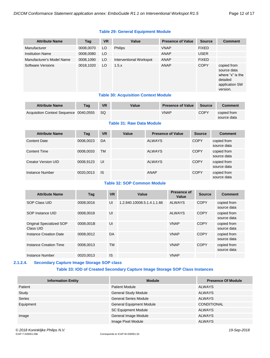### **Table 29: General Equipment Module**

| <b>Attribute Name</b>     | Tag       | <b>VR</b> | Value                   | <b>Presence of Value</b> | <b>Source</b> | <b>Comment</b>                                                                           |
|---------------------------|-----------|-----------|-------------------------|--------------------------|---------------|------------------------------------------------------------------------------------------|
| Manufacturer              | 0008,0070 | LO        | <b>Philips</b>          | <b>VNAP</b>              | <b>FIXED</b>  |                                                                                          |
| <b>Institution Name</b>   | 0008,0080 | LO        |                         | <b>ANAP</b>              | <b>USER</b>   |                                                                                          |
| Manufacturer's Model Name | 0008,1090 | LO        | Interventional Workspot | ANAP                     | <b>FIXED</b>  |                                                                                          |
| Software Versions         | 0018,1020 | LO        | 1.5.x                   | ANAP                     | <b>COPY</b>   | copied from<br>source data<br>where "x" is the<br>detailed<br>application SW<br>version. |

#### **Table 30: Acquisition Context Module**

| <b>Attribute Name</b>                  | <b>Tag</b> | <b>VR</b> | Value | <b>Presence of Value</b> | Source      | <b>Comment</b>             |
|----------------------------------------|------------|-----------|-------|--------------------------|-------------|----------------------------|
| Acquisition Context Sequence 0040,0555 |            | - SQ      |       | VNAP                     | <b>COPY</b> | copied from<br>source data |

#### **Table 31: Raw Data Module**

| <b>Attribute Name</b> | Tag       | <b>VR</b> | Value | <b>Presence of Value</b> | <b>Source</b> | <b>Comment</b>             |
|-----------------------|-----------|-----------|-------|--------------------------|---------------|----------------------------|
| Content Date          | 0008,0023 | DA        |       | <b>ALWAYS</b>            | <b>COPY</b>   | copied from<br>source data |
| <b>Content Time</b>   | 0008,0033 | <b>TM</b> |       | <b>ALWAYS</b>            | <b>COPY</b>   | copied from<br>source data |
| Creator Version UID   | 0008,9123 | UI        |       | <b>ALWAYS</b>            | <b>COPY</b>   | copied from<br>source data |
| Instance Number       | 0020,0013 | IS        |       | ANAP                     | <b>COPY</b>   | copied from<br>source data |

#### **Table 32: SOP Common Module**

| <b>Attribute Name</b>                 | Tag       | <b>VR</b> | Value                      | <b>Presence of</b><br>Value | <b>Source</b> | <b>Comment</b>             |
|---------------------------------------|-----------|-----------|----------------------------|-----------------------------|---------------|----------------------------|
| SOP Class UID                         | 0008.0016 | UI        | 1.2.840.10008.5.1.4.1.1.66 | <b>ALWAYS</b>               | COPY          | copied from<br>source data |
| SOP Instance UID                      | 0008.0018 | UI        |                            | <b>ALWAYS</b>               | <b>COPY</b>   | copied from<br>source data |
| Original Specialized SOP<br>Class UID | 0008.001B | UI        |                            | <b>VNAP</b>                 | COPY          | copied from<br>source data |
| Instance Creation Date                | 0008.0012 | DA        |                            | <b>VNAP</b>                 | <b>COPY</b>   | copied from<br>source data |
| Instance Creation Time                | 0008.0013 | TM        |                            | <b>VNAP</b>                 | <b>COPY</b>   | copied from<br>source data |
| Instance Number                       | 0020.0013 | IS        |                            | <b>VNAP</b>                 |               |                            |

#### <span id="page-11-0"></span>**2.1.2.4. Secondary Capture Image Storage SOP class**

#### **Table 33: IOD of Created Secondary Capture Image Storage SOP Class Instances**

| <b>Information Entity</b> | <b>Module</b>                   | <b>Presence Of Module</b> |
|---------------------------|---------------------------------|---------------------------|
| Patient                   | <b>Patient Module</b>           | <b>ALWAYS</b>             |
| Study                     | <b>General Study Module</b>     | <b>ALWAYS</b>             |
| Series                    | <b>General Series Module</b>    | <b>ALWAYS</b>             |
| Equipment                 | <b>General Equipment Module</b> | <b>CONDITIONAL</b>        |
|                           | <b>SC Equipment Module</b>      | ALWAYS                    |
| Image                     | General Image Module            | <b>ALWAYS</b>             |
|                           | Image Pixel Module              | <b>ALWAYS</b>             |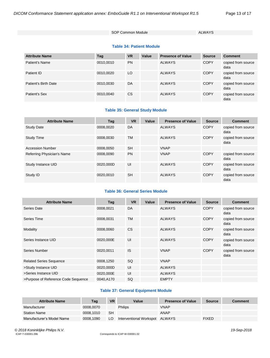SOP Common Module ALWAYS

#### **Table 34: Patient Module**

| <b>Attribute Name</b> | Tag       | <b>VR</b> | Value | <b>Presence of Value</b> | <b>Source</b> | <b>Comment</b>             |
|-----------------------|-----------|-----------|-------|--------------------------|---------------|----------------------------|
| Patient's Name        | 0010,0010 | <b>PN</b> |       | <b>ALWAYS</b>            | <b>COPY</b>   | copied from source<br>data |
| Patient ID            | 0010,0020 | LO        |       | <b>ALWAYS</b>            | <b>COPY</b>   | copied from source<br>data |
| Patient's Birth Date  | 0010,0030 | DA        |       | <b>ALWAYS</b>            | <b>COPY</b>   | copied from source<br>data |
| Patient's Sex         | 0010,0040 | <b>CS</b> |       | <b>ALWAYS</b>            | <b>COPY</b>   | copied from source<br>data |

#### **Table 35: General Study Module**

| <b>Attribute Name</b>      | Tag       | <b>VR</b> | Value | <b>Presence of Value</b> | <b>Source</b> | <b>Comment</b>             |
|----------------------------|-----------|-----------|-------|--------------------------|---------------|----------------------------|
| <b>Study Date</b>          | 0008.0020 | DA        |       | ALWAYS                   | <b>COPY</b>   | copied from source<br>data |
| <b>Study Time</b>          | 0008.0030 | <b>TM</b> |       | ALWAYS                   | <b>COPY</b>   | copied from source<br>data |
| <b>Accession Number</b>    | 0008.0050 | <b>SH</b> |       | <b>VNAP</b>              |               |                            |
| Referring Physician's Name | 0008.0090 | <b>PN</b> |       | <b>VNAP</b>              | <b>COPY</b>   | copied from source<br>data |
| Study Instance UID         | 0020.000D | UI        |       | <b>ALWAYS</b>            | <b>COPY</b>   | copied from source<br>data |
| Study ID                   | 0020,0010 | <b>SH</b> |       | <b>ALWAYS</b>            | <b>COPY</b>   | copied from source<br>data |

#### **Table 36: General Series Module**

| <b>Attribute Name</b>               | Taq       | <b>VR</b> | Value | <b>Presence of Value</b> | <b>Source</b> | <b>Comment</b>             |
|-------------------------------------|-----------|-----------|-------|--------------------------|---------------|----------------------------|
| Series Date                         | 0008,0021 | DA        |       | <b>ALWAYS</b>            | <b>COPY</b>   | copied from source<br>data |
| Series Time                         | 0008,0031 | <b>TM</b> |       | <b>ALWAYS</b>            | <b>COPY</b>   | copied from source<br>data |
| Modality                            | 0008,0060 | <b>CS</b> |       | <b>ALWAYS</b>            | <b>COPY</b>   | copied from source<br>data |
| Series Instance UID                 | 0020,000E | UI        |       | <b>ALWAYS</b>            | <b>COPY</b>   | copied from source<br>data |
| Series Number                       | 0020,0011 | IS        |       | <b>VNAP</b>              | <b>COPY</b>   | copied from source<br>data |
| <b>Related Series Sequence</b>      | 0008,1250 | SQ        |       | <b>VNAP</b>              |               |                            |
| >Study Instance UID                 | 0020,000D | UI        |       | <b>ALWAYS</b>            |               |                            |
| >Series Instance UID                | 0020,000E | UI        |       | <b>ALWAYS</b>            |               |                            |
| >Purpose of Reference Code Sequence | 0040.A170 | SQ        |       | <b>EMPTY</b>             |               |                            |

#### **Table 37: General Equipment Module**

| <b>Attribute Name</b>     | Tag       | <b>VR</b> | Value                          | <b>Presence of Value</b> | <b>Source</b> | <b>Comment</b> |
|---------------------------|-----------|-----------|--------------------------------|--------------------------|---------------|----------------|
| Manufacturer              | 0008,0070 |           | Philips                        | <b>VNAP</b>              |               |                |
| <b>Station Name</b>       | 0008.1010 | SH        |                                | ANAP                     |               |                |
| Manufacturer's Model Name | 0008.1090 | LO        | Interventional Workspot ALWAYS |                          | <b>FIXED</b>  |                |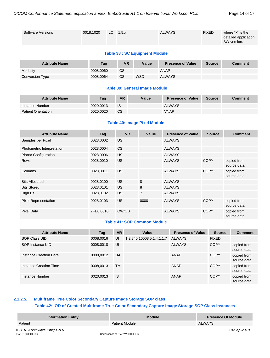| Software Versions | 0018.1020 | LO $1.5.x$ | <b>ALWAYS</b> | <b>FIXED</b> | where "x" is the<br>detailed application<br>SW version. |
|-------------------|-----------|------------|---------------|--------------|---------------------------------------------------------|
|                   |           |            |               |              |                                                         |

#### **Table 38 : SC Equipment Module**

| <b>Attribute Name</b>  | Taq       | <b>VR</b> | Value      | <b>Presence of Value</b> | <b>Source</b> | <b>Comment</b> |
|------------------------|-----------|-----------|------------|--------------------------|---------------|----------------|
| Modality               | 0008.0060 | CS        |            | <b>ANAP</b>              |               |                |
| <b>Conversion Type</b> | 0008.0064 | CS        | <b>WSD</b> | <b>ALWAYS</b>            |               |                |

#### **Table 39: General Image Module**

| <b>Attribute Name</b>      | Tag       | <b>VR</b> | Value | <b>Presence of Value</b> | Source | <b>Comment</b> |
|----------------------------|-----------|-----------|-------|--------------------------|--------|----------------|
| Instance Number            | 0020.0013 | 1S        |       | <b>ALWAYS</b>            |        |                |
| <b>Patient Orientation</b> | 0020.0020 | <b>CS</b> |       | <b>VNAP</b>              |        |                |

#### **Table 40: Image Pixel Module**

| <b>Attribute Name</b>       | Tag       | <b>VR</b> | Value          | <b>Presence of Value</b> | <b>Source</b> | <b>Comment</b>             |
|-----------------------------|-----------|-----------|----------------|--------------------------|---------------|----------------------------|
| Samples per Pixel           | 0028,0002 | <b>US</b> |                | <b>ALWAYS</b>            |               |                            |
| Photometric Interpretation  | 0028,0004 | <b>CS</b> |                | <b>ALWAYS</b>            |               |                            |
| <b>Planar Configuration</b> | 0028,0006 | <b>US</b> |                | <b>ALWAYS</b>            |               |                            |
| <b>Rows</b>                 | 0028,0010 | <b>US</b> |                | <b>ALWAYS</b>            | <b>COPY</b>   | copied from<br>source data |
| Columns                     | 0028,0011 | <b>US</b> |                | <b>ALWAYS</b>            | <b>COPY</b>   | copied from<br>source data |
| <b>Bits Allocated</b>       | 0028,0100 | <b>US</b> | 8              | <b>ALWAYS</b>            |               |                            |
| <b>Bits Stored</b>          | 0028,0101 | <b>US</b> | 8              | <b>ALWAYS</b>            |               |                            |
| High Bit                    | 0028,0102 | <b>US</b> | $\overline{7}$ | <b>ALWAYS</b>            |               |                            |
| <b>Pixel Representation</b> | 0028,0103 | <b>US</b> | 0000           | <b>ALWAYS</b>            | <b>COPY</b>   | copied from<br>source data |
| <b>Pixel Data</b>           | 7FE0,0010 | OW/OB     |                | <b>ALWAYS</b>            | <b>COPY</b>   | copied from<br>source data |

#### **Table 41: SOP Common Module**

| <b>Attribute Name</b>  | Tag       | <b>VR</b> | Value                     | <b>Presence of Value</b> | <b>Source</b> | <b>Comment</b>             |
|------------------------|-----------|-----------|---------------------------|--------------------------|---------------|----------------------------|
| SOP Class UID          | 0008,0016 | UI        | 1.2.840.10008.5.1.4.1.1.7 | <b>ALWAYS</b>            | <b>FIXED</b>  |                            |
| SOP Instance UID       | 0008,0018 | UI        |                           | <b>ALWAYS</b>            | <b>COPY</b>   | copied from<br>source data |
| Instance Creation Date | 0008,0012 | DA        |                           | ANAP                     | <b>COPY</b>   | copied from<br>source data |
| Instance Creation Time | 0008.0013 | <b>TM</b> |                           | ANAP                     | <b>COPY</b>   | copied from<br>source data |
| Instance Number        | 0020,0013 | <b>IS</b> |                           | ANAP                     | <b>COPY</b>   | copied from<br>source data |

### <span id="page-13-0"></span>**2.1.2.5. Multiframe True Color Secondary Capture Image Storage SOP class Table 42: IOD of Created Multiframe True Color Secondary Capture Image Storage SOP Class Instances**

| <b>Information Entity</b>                            | <b>Module</b>                   | <b>Presence Of Module</b> |
|------------------------------------------------------|---------------------------------|---------------------------|
| Patient                                              | <b>Patient Module</b>           | <b>ALWAYS</b>             |
| © 2018 Koninklijke Philips N.V.<br>ICAP-T-030001.09b | Corresponds to ICAP-W-030001.02 | 19-Sep-2018               |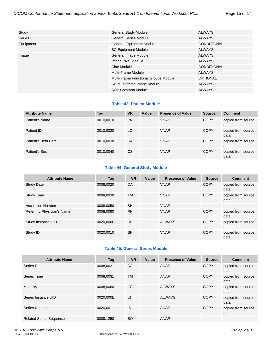| Study         | <b>General Study Module</b>          | <b>ALWAYS</b>      |
|---------------|--------------------------------------|--------------------|
| <b>Series</b> | <b>General Series Module</b>         | <b>ALWAYS</b>      |
| Equipment     | <b>General Equipment Module</b>      | <b>CONDITIONAL</b> |
|               | <b>SC Equipment Module</b>           | <b>ALWAYS</b>      |
| Image         | General Image Module                 | <b>ALWAYS</b>      |
|               | Image Pixel Module                   | <b>ALWAYS</b>      |
|               | Cine Module                          | <b>CONDITIONAL</b> |
|               | Multi-Frame Module                   | <b>ALWAYS</b>      |
|               | Multi-Frame Functional Groups Module | <b>OPTIONAL</b>    |
|               | SC Multi-frame Image Module          | <b>ALWAYS</b>      |
|               | SOP Common Module                    | <b>ALWAYS</b>      |

#### **Table 43: Patient Module**

| <b>Attribute Name</b> | Tag       | <b>VR</b> | Value | <b>Presence of Value</b> | <b>Source</b> | <b>Comment</b>             |
|-----------------------|-----------|-----------|-------|--------------------------|---------------|----------------------------|
| Patient's Name        | 0010,0010 | <b>PN</b> |       | <b>VNAP</b>              | <b>COPY</b>   | copied from source<br>data |
| Patient ID            | 0010,0020 | LO        |       | <b>VNAP</b>              | <b>COPY</b>   | copied from source<br>data |
| Patient's Birth Date  | 0010,0030 | DA        |       | <b>VNAP</b>              | <b>COPY</b>   | copied from source<br>data |
| Patient's Sex         | 0010,0040 | <b>CS</b> |       | <b>VNAP</b>              | <b>COPY</b>   | copied from source<br>data |

#### **Table 44: General Study Module**

| <b>Attribute Name</b>      | Tag       | <b>VR</b> | Value | <b>Presence of Value</b> | <b>Source</b> | <b>Comment</b>             |
|----------------------------|-----------|-----------|-------|--------------------------|---------------|----------------------------|
| <b>Study Date</b>          | 0008.0020 | DA        |       | <b>VNAP</b>              | <b>COPY</b>   | copied from source<br>data |
| Study Time                 | 0008.0030 | <b>TM</b> |       | <b>VNAP</b>              | <b>COPY</b>   | copied from source<br>data |
| <b>Accession Number</b>    | 0008,0050 | <b>SH</b> |       | <b>VNAP</b>              |               |                            |
| Referring Physician's Name | 0008,0090 | <b>PN</b> |       | <b>VNAP</b>              | <b>COPY</b>   | copied from source<br>data |
| Study Instance UID         | 0020.000D | UI        |       | <b>ALWAYS</b>            | <b>COPY</b>   | copied from source<br>data |
| Study ID                   | 0020,0010 | <b>SH</b> |       | <b>VNAP</b>              | <b>COPY</b>   | copied from source<br>data |

#### **Table 45: General Series Module**

| <b>Attribute Name</b>          | Tag       | <b>VR</b> | Value | <b>Presence of Value</b> | <b>Source</b> | <b>Comment</b>             |
|--------------------------------|-----------|-----------|-------|--------------------------|---------------|----------------------------|
| Series Date                    | 0008,0021 | DA        |       | ANAP                     | <b>COPY</b>   | copied from source<br>data |
| Series Time                    | 0008.0031 | TM        |       | ANAP                     | <b>COPY</b>   | copied from source<br>data |
| Modality                       | 0008.0060 | <b>CS</b> |       | <b>ALWAYS</b>            | <b>COPY</b>   | copied from source<br>data |
| Series Instance UID            | 0020,000E | UI        |       | <b>ALWAYS</b>            | <b>COPY</b>   | copied from source<br>data |
| Series Number                  | 0020.0011 | IS        |       | ANAP                     | <b>COPY</b>   | copied from source<br>data |
| <b>Related Series Sequence</b> | 0008,1250 | <b>SQ</b> |       | ANAP                     |               |                            |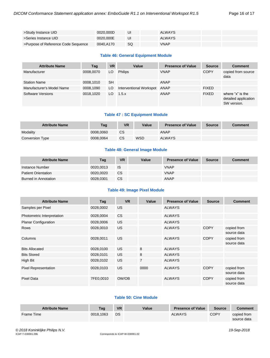|  | Page 16 of 17 |  |  |  |  |  |
|--|---------------|--|--|--|--|--|
|--|---------------|--|--|--|--|--|

| >Study Instance UID                 | 0020.000D | UI | <b>ALWAYS</b> |  |
|-------------------------------------|-----------|----|---------------|--|
| >Series Instance UID                | 0020.000E | UI | <b>ALWAYS</b> |  |
| >Purpose of Reference Code Sequence | 0040.A170 | SQ | VNAP          |  |

#### **Table 46: General Equipment Module**

| <b>Attribute Name</b>     | Tag       | <b>VR</b> | Value                   | <b>Presence of Value</b> | <b>Source</b> | <b>Comment</b>                                          |
|---------------------------|-----------|-----------|-------------------------|--------------------------|---------------|---------------------------------------------------------|
| Manufacturer              | 0008,0070 | LO        | <b>Philips</b>          | <b>VNAP</b>              | <b>COPY</b>   | copied from source<br>data                              |
| <b>Station Name</b>       | 0008,1010 | <b>SH</b> |                         | ANAP                     |               |                                                         |
| Manufacturer's Model Name | 0008,1090 | LO.       | Interventional Workspot | ANAP                     | <b>FIXED</b>  |                                                         |
| Software Versions         | 0018,1020 | LO        | 1.5.x                   | ANAP                     | <b>FIXED</b>  | where "x" is the<br>detailed application<br>SW version. |

#### **Table 47 : SC Equipment Module**

| <b>Attribute Name</b> | Taq       | <b>VR</b> | Value      | <b>Presence of Value</b> | <b>Source</b> | <b>Comment</b> |
|-----------------------|-----------|-----------|------------|--------------------------|---------------|----------------|
| Modality              | 0008.0060 | <b>CS</b> |            | ANAP                     |               |                |
| Conversion Type       | 0008.0064 | CS        | <b>WSD</b> | <b>ALWAYS</b>            |               |                |

#### **Table 48: General Image Module**

| <b>Attribute Name</b>      | Tag       | <b>VR</b> | Value | <b>Presence of Value</b> | Source | <b>Comment</b> |
|----------------------------|-----------|-----------|-------|--------------------------|--------|----------------|
| Instance Number            | 0020.0013 | <b>IS</b> |       | <b>VNAP</b>              |        |                |
| <b>Patient Orientation</b> | 0020.0020 | <b>CS</b> |       | <b>VNAP</b>              |        |                |
| Burned in Annotation       | 0028,0301 | <b>CS</b> |       | <b>ANAP</b>              |        |                |

#### **Table 49: Image Pixel Module**

| <b>Attribute Name</b>       | Tag       | <b>VR</b> | Value          | <b>Presence of Value</b> | <b>Source</b> | <b>Comment</b>             |
|-----------------------------|-----------|-----------|----------------|--------------------------|---------------|----------------------------|
| Samples per Pixel           | 0028,0002 | US.       |                | <b>ALWAYS</b>            |               |                            |
| Photometric Interpretation  | 0028,0004 | <b>CS</b> |                | <b>ALWAYS</b>            |               |                            |
| <b>Planar Configuration</b> | 0028,0006 | US.       |                | <b>ALWAYS</b>            |               |                            |
| <b>Rows</b>                 | 0028,0010 | US.       |                | <b>ALWAYS</b>            | <b>COPY</b>   | copied from<br>source data |
| Columns                     | 0028,0011 | US.       |                | <b>ALWAYS</b>            | <b>COPY</b>   | copied from<br>source data |
| <b>Bits Allocated</b>       | 0028,0100 | US.       | 8              | <b>ALWAYS</b>            |               |                            |
| <b>Bits Stored</b>          | 0028,0101 | US.       | 8              | <b>ALWAYS</b>            |               |                            |
| High Bit                    | 0028,0102 | US.       | $\overline{7}$ | <b>ALWAYS</b>            |               |                            |
| <b>Pixel Representation</b> | 0028,0103 | US.       | 0000           | <b>ALWAYS</b>            | <b>COPY</b>   | copied from<br>source data |
| <b>Pixel Data</b>           | 7FE0,0010 | OW/OB     |                | <b>ALWAYS</b>            | <b>COPY</b>   | copied from<br>source data |

#### **Table 50: Cine Module**

| <b>Attribute Name</b> | Tag       | <b>VR</b> | Value | <b>Presence of Value</b> | <b>Source</b> | <b>Comment</b> |
|-----------------------|-----------|-----------|-------|--------------------------|---------------|----------------|
| Frame Time            | 0018.1063 | DS        |       | <b>ALWAYS</b>            | <b>COPY</b>   | copied from    |
|                       |           |           |       |                          |               | source data    |